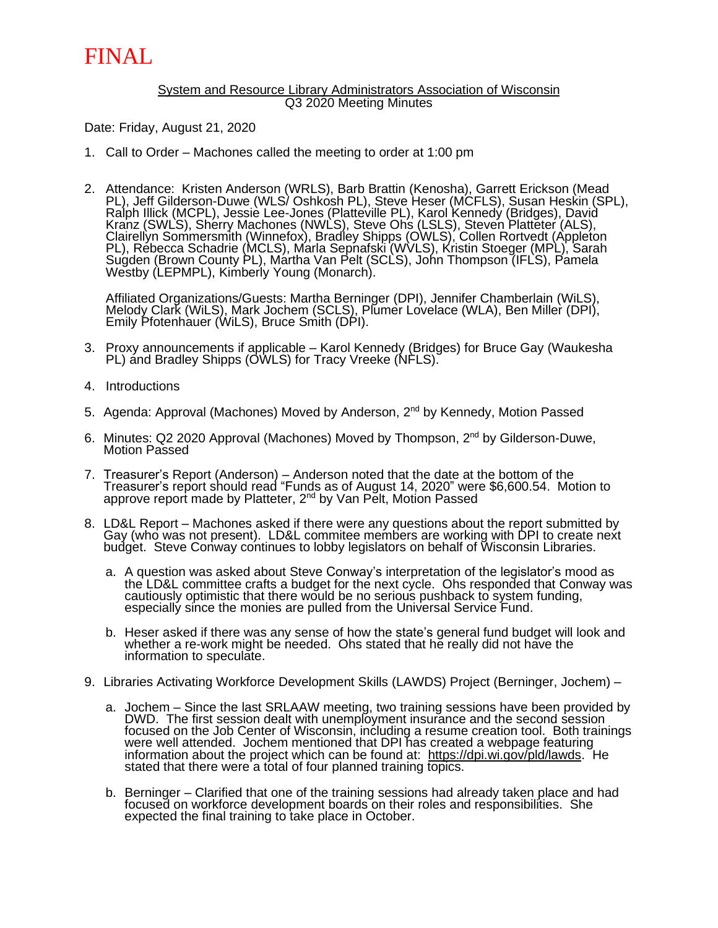## FINAL

#### System and Resource Library Administrators Association of Wisconsin Q3 2020 Meeting Minutes

Date: Friday, August 21, 2020

- 1. Call to Order Machones called the meeting to order at 1:00 pm
- 2. Attendance: Kristen Anderson (WRLS), Barb Brattin (Kenosha), Garrett Erickson (Mead PL), Jeff Gilderson-Duwe (WLS/ Oshkosh PL), Steve Heser (MCFLS), Susan Heskin (SPL), Ralph Illick (MCPL), Jessiè Lee-Jones (Platteville PL), Karol Kennedy (Bridges), David Kranz (SWLS), Sherry Machones (NWLS), Steve Ohs (LSLS), Steven Platteter (ALS), Clairellyn Sommersmith (Winnefox), Bradley Shipps (OWLS), Collen Rortvedt (Appleton PL), Rébecca Schadrie (MCLS), Marla Sepnafski (WVLS), Kristin Stoeger (MPL), Sarah Sugden (Brown County PL), Martha Van Pelt (SCLS), John Thompson (IFLS), Pamela Westby (LEPMPL), Kimberly Young (Monarch).

Affiliated Organizations/Guests: Martha Berninger (DPI), Jennifer Chamberlain (WiLS), Melody Clark (WiLS), Mark Jochem (SCLS), Plumer Lovelace (WLA), Ben Miller (DPI), Emily Pfotenhauer (WiLS), Bruce Smith (DPI).

- 3. Proxy announcements if applicable Karol Kennedy (Bridges) for Bruce Gay (Waukesha PL) and Bradley Shipps (OWLS) for Tracy Vreeke (NFLS).
- 4. Introductions
- 5. Agenda: Approval (Machones) Moved by Anderson, 2<sup>nd</sup> by Kennedy, Motion Passed
- 6. Minutes: Q2 2020 Approval (Machones) Moved by Thompson, 2<sup>nd</sup> by Gilderson-Duwe, Motion Passed
- 7. Treasurer's Report (Anderson) Anderson noted that the date at the bottom of the Treasurer's report should read "Funds as of August 14, 2020" were \$6,600.54. Motion to approve report made by Platteter, 2<sup>nd</sup> by Van Pĕlt, Motíon Passed
- 8. LD&L Report Machones asked if there were any questions about the report submitted by Gay (who was not present). LD&L commitee members are working with DPI to create next budget. Steve Conway continues to lobby legislators on behalf of Wisconsin Libraries.
	- a. A question was asked about Steve Conway's interpretation of the legislator's mood as the LD&L committee crafts a budget for the next cycle. Ohs responded that Conway was cautiously optimistic that there would be no serious pushback to system funding, especially since the monies are pulled from the Universal Service Fund.
	- b. Heser asked if there was any sense of how the state's general fund budget will look and whether a re-work might be needed. Ohs stated that he really did not have the information to speculate.
- 9. Libraries Activating Workforce Development Skills (LAWDS) Project (Berninger, Jochem)
	- a. Jochem Since the last SRLAAW meeting, two training sessions have been provided by DWD. The first session dealt with unemployment insurance and the second session focused on the Job Center of Wisconsin, including a resume creation tool. Both trainings were well attended. Jochem mentioned that DPI has created a webpage featuring information about the project which can be found at: [https://dpi.wi.gov/pld/lawds.](https://dpi.wi.gov/pld/lawds) He stated that there were a total of four planned training topics.
	- b. Berninger Clarified that one of the training sessions had already taken place and had focused on workforce development boards on their roles and responsibilities. She expected the final training to take place in October.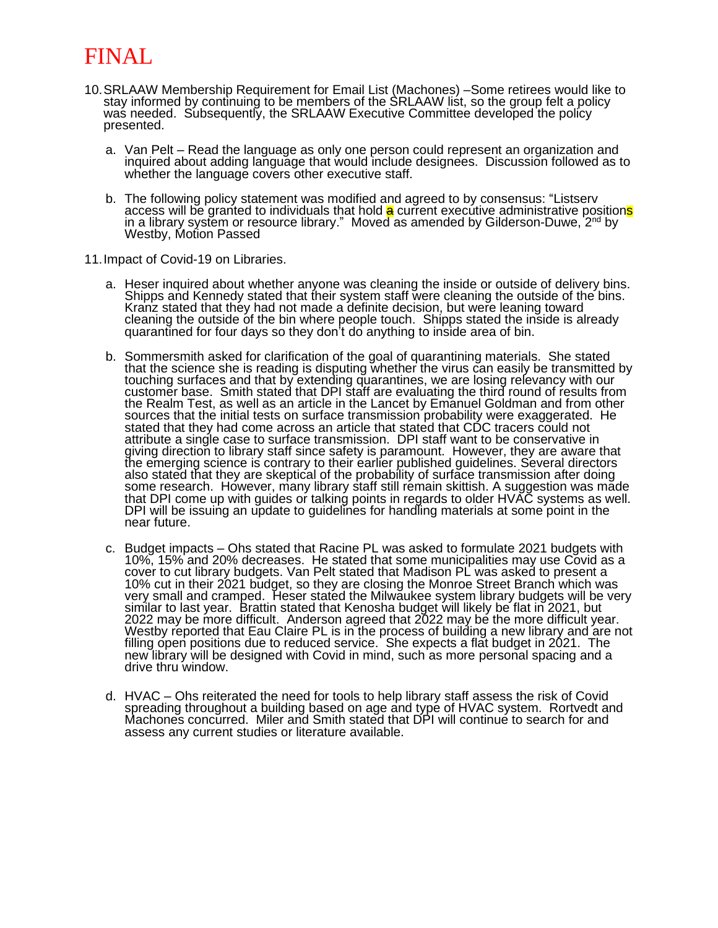# FINAL

- 10.SRLAAW Membership Requirement for Email List (Machones) –Some retirees would like to stay informed by continuing to be members of the SRLAAW list, so the group felt a policy was needed. Subsequently, the SRLAAW Executive Committee developed the policy presented.
	- a. Van Pelt Read the language as only one person could represent an organization and inquired about adding language that would include designees. Discussion followed as to whether the language covers other executive staff.
	- b. The following policy statement was modified and agreed to by consensus: "Listserv access will be granted to individuals that hold <mark>a</mark> current executive administrative position<mark>s</mark> in a library system or resource library." Moved as amended by Gilderson-Duwe, 2<sup>nd</sup> by Westby, Motion Passed
- 11.Impact of Covid-19 on Libraries.
	- a. Heser inquired about whether anyone was cleaning the inside or outside of delivery bins. Shipps and Kennedy stated that their system staff were cleaning the outside of the bins. Kranz stated that they had not made a definite decision, but were leaning toward cleaning the outside of the bin where people touch. Shipps stated the inside is already quarantined for four days so they don't do anything to inside area of bin.
	- b. Sommersmith asked for clarification of the goal of quarantining materials. She stated that the science she is reading is disputing whether the virus can easily be transmitted by touching surfaces and that by extending quarantines, we are losing relevancy with our customer base. Smith stated that DPI staff are evaluating the third round of results from the Realm Test, as well as an article in the Lancet by Emanuel Goldman and from other sources that the initial tests on surface transmission probability were exaggerated. He stated that they had come across an article that stated that CDC tracers could not attribute a single case to surface transmission. DPI staff want to be conservative in giving direction to library staff since safety is paramount. However, they are aware that the emerging science is contrary to their earlier published guidelines. Several directors also stated that they are skeptical of the probability of surface transmission after doing some research. However, many library staff still remain skittish. A suggestion was măde that DPI come up with guides or talking points in regards to older HVAC systems as well. DPI will be issuing an update to guidelines for handling materials at some point in the near future.
	- c. Budget impacts Ohs stated that Racine PL was asked to formulate 2021 budgets with 10%, 15% and 20% decreases. He stated that some municipalities may use Covid as a cover to cut library budgets. Van Pelt stated that Madison PL was asked to present a 10% cut in their 2021 budget, so they are closing the Monroe Street Branch which was very small and cramped. Heser stated the Milwaukee system library budgets will be very similar to last year. Brattin stated that Kenosha budget will likely be flat in 2021, but 2022 may be more difficult. Anderson agreed that 2022 may be the more difficult year. Westby reported that Eau Claire PL is in the process of building a new library and are not filling open positions due to reduced service. She expects a flat budget in 2021. The new library will be designed with Covid in mind, such as more personal spacing and a drive thru window.
	- d. HVAC Ohs reiterated the need for tools to help library staff assess the risk of Covid spreading throughout a building based on age and type of HVAC system. Rortvedt and Machones concurred. Miler and Smith stated that DPI will continue to search for and assess any current studies or literature available.